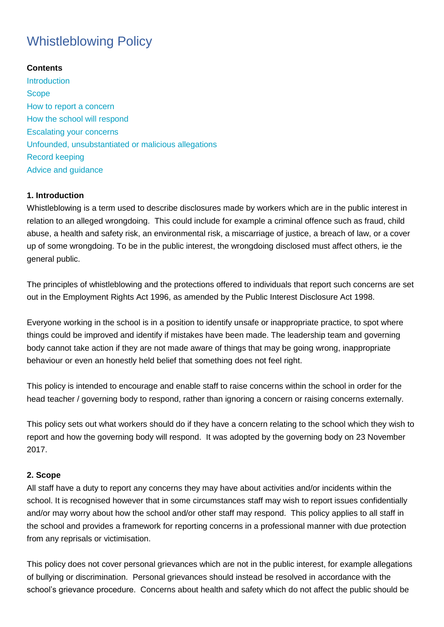# Whistleblowing Policy

# **Contents**

**[Introduction](https://info.wandsworth.gov.uk/Schools/HR/Policies-Procedures/Employee-Relations/Whistleblowing#Introduction) [Scope](https://info.wandsworth.gov.uk/Schools/HR/Policies-Procedures/Employee-Relations/Whistleblowing#Scope)** [How to report a concern](https://info.wandsworth.gov.uk/Schools/HR/Policies-Procedures/Employee-Relations/Whistleblowing#How to report a concern) [How the school will respond](https://info.wandsworth.gov.uk/Schools/HR/Policies-Procedures/Employee-Relations/Whistleblowing#How the school will respond) [Escalating your concerns](https://info.wandsworth.gov.uk/Schools/HR/Policies-Procedures/Employee-Relations/Whistleblowing#Escalating your concerns) [Unfounded, unsubstantiated or malicious allegations](https://info.wandsworth.gov.uk/Schools/HR/Policies-Procedures/Employee-Relations/Whistleblowing#Unfounded, unsubstantiated or malicious allegations) [Record keeping](https://info.wandsworth.gov.uk/Schools/HR/Policies-Procedures/Employee-Relations/Whistleblowing#Record keeping) [Advice and guidance](https://info.wandsworth.gov.uk/Schools/HR/Policies-Procedures/Employee-Relations/Whistleblowing#Advice and guidance)

# **1. Introduction**

Whistleblowing is a term used to describe disclosures made by workers which are in the public interest in relation to an alleged wrongdoing. This could include for example a criminal offence such as fraud, child abuse, a health and safety risk, an environmental risk, a miscarriage of justice, a breach of law, or a cover up of some wrongdoing. To be in the public interest, the wrongdoing disclosed must affect others, ie the general public.

The principles of whistleblowing and the protections offered to individuals that report such concerns are set out in the Employment Rights Act 1996, as amended by the Public Interest Disclosure Act 1998.

Everyone working in the school is in a position to identify unsafe or inappropriate practice, to spot where things could be improved and identify if mistakes have been made. The leadership team and governing body cannot take action if they are not made aware of things that may be going wrong, inappropriate behaviour or even an honestly held belief that something does not feel right.

This policy is intended to encourage and enable staff to raise concerns within the school in order for the head teacher / governing body to respond, rather than ignoring a concern or raising concerns externally.

This policy sets out what workers should do if they have a concern relating to the school which they wish to report and how the governing body will respond. It was adopted by the governing body on 23 November 2017.

# **2. Scope**

All staff have a duty to report any concerns they may have about activities and/or incidents within the school. It is recognised however that in some circumstances staff may wish to report issues confidentially and/or may worry about how the school and/or other staff may respond. This policy applies to all staff in the school and provides a framework for reporting concerns in a professional manner with due protection from any reprisals or victimisation.

This policy does not cover personal grievances which are not in the public interest, for example allegations of bullying or discrimination. Personal grievances should instead be resolved in accordance with the school's grievance procedure. Concerns about health and safety which do not affect the public should be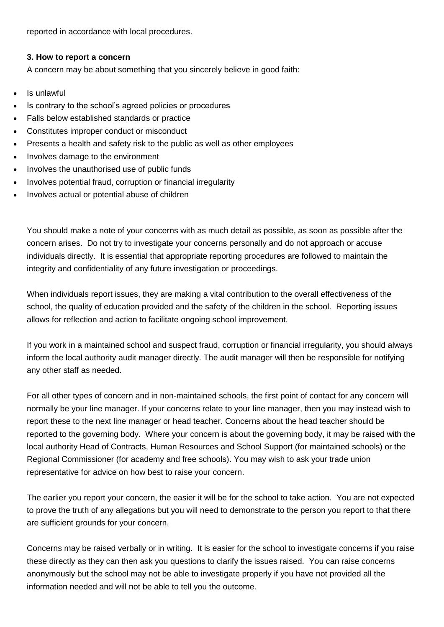reported in accordance with local procedures.

#### **3. How to report a concern**

A concern may be about something that you sincerely believe in good faith:

- Is unlawful
- Is contrary to the school's agreed policies or procedures
- Falls below established standards or practice
- Constitutes improper conduct or misconduct
- Presents a health and safety risk to the public as well as other employees
- Involves damage to the environment
- Involves the unauthorised use of public funds
- Involves potential fraud, corruption or financial irregularity
- Involves actual or potential abuse of children

You should make a note of your concerns with as much detail as possible, as soon as possible after the concern arises. Do not try to investigate your concerns personally and do not approach or accuse individuals directly. It is essential that appropriate reporting procedures are followed to maintain the integrity and confidentiality of any future investigation or proceedings.

When individuals report issues, they are making a vital contribution to the overall effectiveness of the school, the quality of education provided and the safety of the children in the school. Reporting issues allows for reflection and action to facilitate ongoing school improvement.

If you work in a maintained school and suspect fraud, corruption or financial irregularity, you should always inform the local authority audit manager directly. The audit manager will then be responsible for notifying any other staff as needed.

For all other types of concern and in non-maintained schools, the first point of contact for any concern will normally be your line manager. If your concerns relate to your line manager, then you may instead wish to report these to the next line manager or head teacher. Concerns about the head teacher should be reported to the governing body. Where your concern is about the governing body, it may be raised with the local authority Head of Contracts, Human Resources and School Support (for maintained schools) or the Regional Commissioner (for academy and free schools). You may wish to ask your trade union representative for advice on how best to raise your concern.

The earlier you report your concern, the easier it will be for the school to take action. You are not expected to prove the truth of any allegations but you will need to demonstrate to the person you report to that there are sufficient grounds for your concern.

Concerns may be raised verbally or in writing. It is easier for the school to investigate concerns if you raise these directly as they can then ask you questions to clarify the issues raised. You can raise concerns anonymously but the school may not be able to investigate properly if you have not provided all the information needed and will not be able to tell you the outcome.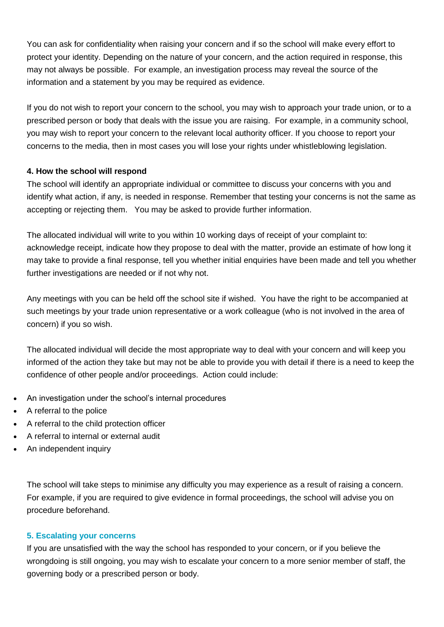You can ask for confidentiality when raising your concern and if so the school will make every effort to protect your identity. Depending on the nature of your concern, and the action required in response, this may not always be possible. For example, an investigation process may reveal the source of the information and a statement by you may be required as evidence.

If you do not wish to report your concern to the school, you may wish to approach your trade union, or to a prescribed person or body that deals with the issue you are raising. For example, in a community school, you may wish to report your concern to the relevant local authority officer. If you choose to report your concerns to the media, then in most cases you will lose your rights under whistleblowing legislation.

## **4. How the school will respond**

The school will identify an appropriate individual or committee to discuss your concerns with you and identify what action, if any, is needed in response. Remember that testing your concerns is not the same as accepting or rejecting them. You may be asked to provide further information.

The allocated individual will write to you within 10 working days of receipt of your complaint to: acknowledge receipt, indicate how they propose to deal with the matter, provide an estimate of how long it may take to provide a final response, tell you whether initial enquiries have been made and tell you whether further investigations are needed or if not why not.

Any meetings with you can be held off the school site if wished. You have the right to be accompanied at such meetings by your trade union representative or a work colleague (who is not involved in the area of concern) if you so wish.

The allocated individual will decide the most appropriate way to deal with your concern and will keep you informed of the action they take but may not be able to provide you with detail if there is a need to keep the confidence of other people and/or proceedings. Action could include:

- An investigation under the school's internal procedures
- A referral to the police
- A referral to the child protection officer
- A referral to internal or external audit
- An independent inquiry

The school will take steps to minimise any difficulty you may experience as a result of raising a concern. For example, if you are required to give evidence in formal proceedings, the school will advise you on procedure beforehand.

## **5. Escalating your concerns**

If you are unsatisfied with the way the school has responded to your concern, or if you believe the wrongdoing is still ongoing, you may wish to escalate your concern to a more senior member of staff, the governing body or a prescribed person or body.